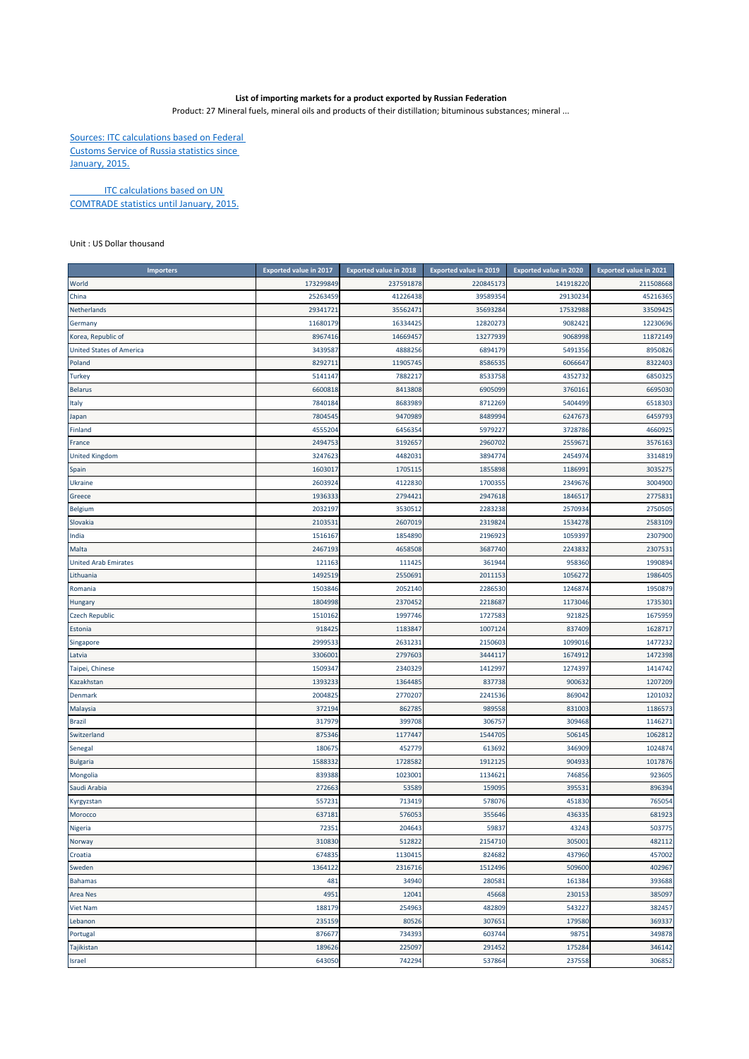## **List of importing markets for a product exported by Russian Federation**

Product: 27 Mineral fuels, mineral oils and products of their distillation; bituminous substances; mineral ...

Sources: ITC calculations based on Federal Customs Service of Russia statistics since January, 2015.

**ITC calculations based on UN** COMTRADE statistics until January, 2015.

Unit : US Dollar thousand

| <b>Importers</b>                | <b>Exported value in 2017</b> | <b>Exported value in 2018</b> | <b>Exported value in 2019</b> | <b>Exported value in 2020</b> | <b>Exported value in 2021</b> |
|---------------------------------|-------------------------------|-------------------------------|-------------------------------|-------------------------------|-------------------------------|
| World                           | 173299849                     | 237591878                     | 220845173                     | 141918220                     | 211508668                     |
| China                           | 25263459                      | 41226438                      | 39589354                      | 29130234                      | 45216365                      |
| Netherlands                     | 29341721                      | 35562471                      | 35693284                      | 17532988                      | 33509425                      |
| Germany                         | 11680179                      | 16334425                      | 12820273                      | 9082421                       | 12230696                      |
| Korea, Republic of              | 8967416                       | 14669457                      | 13277939                      | 9068998                       | 11872149                      |
| <b>United States of America</b> | 3439587                       | 4888256                       | 6894179                       | 5491356                       | 8950826                       |
| Poland                          | 8292711                       | 11905745                      | 8586535                       | 606664                        | 8322403                       |
| Turkey                          | 5141147                       | 7882217                       | 8533758                       | 4352732                       | 6850325                       |
| <b>Belarus</b>                  | 6600818                       | 8413808                       | 6905099                       | 376016:                       | 6695030                       |
| Italy                           | 7840184                       | 8683989                       | 8712269                       | 5404499                       | 6518303                       |
| Japan                           | 7804545                       | 9470989                       | 8489994                       | 6247673                       | 6459793                       |
| Finland                         | 4555204                       | 6456354                       | 5979227                       | 3728786                       | 4660925                       |
| France                          | 249475                        | 3192657                       | 2960702                       | 255967                        | 3576163                       |
| <b>United Kingdom</b>           | 324762                        | 448203                        | 3894774                       | 245497                        | 3314819                       |
| Spain                           | 160301                        | 170511                        | 1855898                       | 118699                        | 3035275                       |
| <b>Ukraine</b>                  | 2603924                       | 4122830                       | 1700355                       | 234967                        | 3004900                       |
| Greece                          | 1936333                       | 2794421                       | 2947618                       | 1846517                       | 2775831                       |
| Belgium                         | 2032197                       | 3530512                       | 2283238                       | 257093                        | 2750505                       |
| Slovakia                        | 2103531                       | 2607019                       | 2319824                       | 1534278                       | 2583109                       |
| India                           | 151616                        | 1854890                       | 2196923                       | 105939                        | 2307900                       |
| Malta                           | 2467193                       | 4658508                       | 3687740                       | 2243832                       | 2307531                       |
| <b>United Arab Emirates</b>     | 121163                        | 111425                        | 361944                        | 958360                        | 1990894                       |
| Lithuania                       | 1492519                       | 2550691                       | 2011153                       | 1056272                       | 1986405                       |
| Romania                         | 1503846                       | 2052140                       | 2286530                       | 124687                        | 1950879                       |
| <b>Hungary</b>                  | 1804998                       | 2370452                       | 2218687                       | 1173046                       | 1735301                       |
| <b>Czech Republic</b>           | 1510162                       | 1997746                       | 1727583                       | 921825                        | 1675959                       |
| Estonia                         | 918425                        | 1183847                       | 1007124                       | 837409                        | 1628717                       |
| Singapore                       | 2999533                       | 2631231                       | 2150603                       | 1099016                       | 1477232                       |
| Latvia                          | 330600                        | 2797603                       | 3444117                       | 1674912                       | 1472398                       |
| Taipei, Chinese                 | 1509347                       | 2340329                       | 1412997                       | 1274397                       | 1414742                       |
| Kazakhstan                      | 1393233                       | 1364485                       | 837738                        | 900632                        | 1207209                       |
| Denmark                         | 200482                        | 277020                        | 2241536                       | 869042                        | 1201032                       |
| Malaysia                        | 372194                        | 862785                        | 989558                        | 831003                        | 1186573                       |
| Brazil                          | 317979                        | 399708                        | 306757                        | 309468                        | 1146271                       |
| Switzerland                     | 875346                        | 1177447                       | 1544705                       | 506145                        | 1062812                       |
| Senegal                         | 180675                        | 452779                        | 613692                        | 346909                        | 1024874                       |
| <b>Bulgaria</b>                 | 1588332                       | 1728582                       | 1912125                       | 904933                        | 1017876                       |
| Mongolia                        | 839388                        | 1023001                       | 1134621                       | 746856                        | 923605                        |
| Saudi Arabia                    | 27266                         | 53589                         | 159095                        | 39553                         | 896394                        |
| Kyrgyzstan                      | 557231                        | 71341                         | 578076                        | 451830                        | 765054                        |
| Morocco                         | 637181                        | 576053                        | 355646                        | 43633                         | 681923                        |
| Nigeria                         | 72351                         | 204643                        | 59837                         | 43243                         | 503775                        |
| Norway                          | 310830                        | 512822                        | 2154710                       | 305001                        | 482112                        |
| Croatia                         | 674835                        | 1130415                       | 824682                        | 437960                        | 457002                        |
| Sweden                          | 1364122                       | 2316716                       | 1512496                       | 509600                        | 402967                        |
| <b>Bahamas</b>                  | 481                           | 34940                         | 280581                        | 161384                        | 393688                        |
| <b>Area Nes</b>                 | 4951                          | 12041                         | 45668                         | 230153                        | 385097                        |
| Viet Nam                        | 188179                        | 254963                        | 482809                        | 543227                        | 382457                        |
| Lebanon                         | 235159                        | 80526                         | 307651                        | 179580                        | 369337                        |
| Portugal                        | 876677                        | 734393                        | 603744                        | 98751                         | 349878                        |
| Tajikistan                      | 189626                        | 225097                        | 291452                        | 175284                        | 346142                        |
| Israel                          | 643050                        | 742294                        | 537864                        | 237558                        | 306852                        |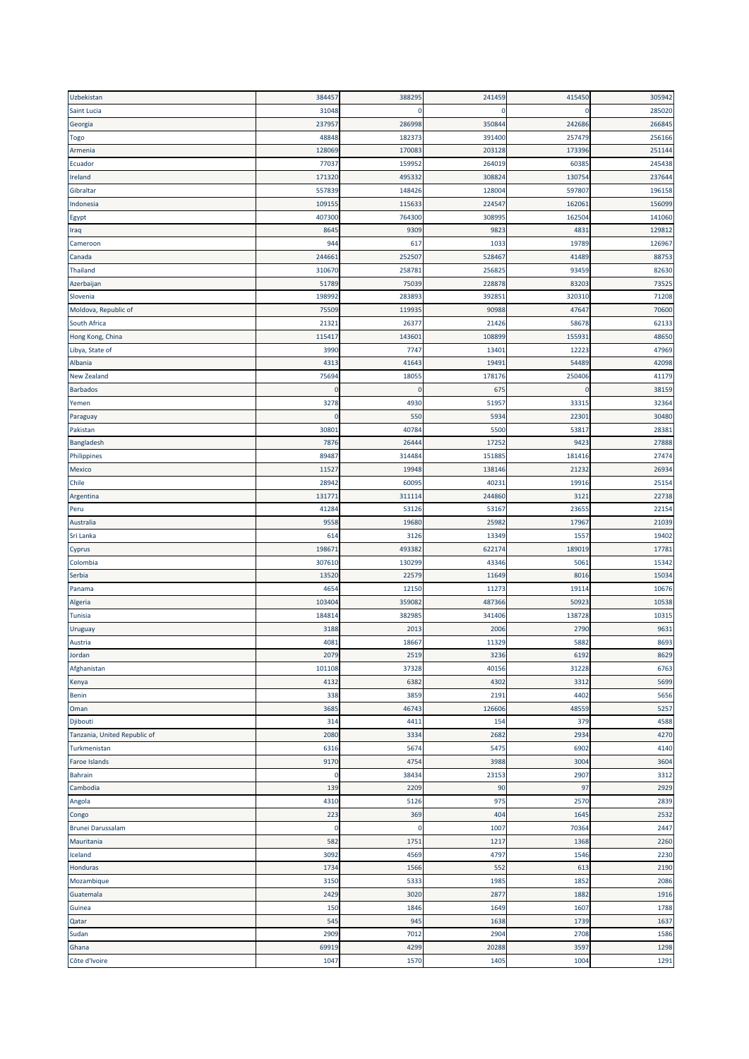| Uzbekistan                   | 384457         | 388295      | 241459 | 415450 | 305942 |
|------------------------------|----------------|-------------|--------|--------|--------|
| Saint Lucia                  | 31048          | 0           | 0      |        | 285020 |
| Georgia                      | 237957         | 286998      | 350844 | 242686 | 266845 |
| <b>Togo</b>                  | 48848          | 182373      | 391400 | 257479 | 256166 |
| Armenia                      | 128069         | 170083      | 203128 | 173396 | 251144 |
| Ecuador                      | 7703           | 159952      | 264019 | 6038   | 245438 |
| Ireland                      | 171320         | 495332      | 308824 | 130754 | 237644 |
| Gibraltar                    | 557839         | 148426      | 128004 | 597807 | 196158 |
| Indonesia                    | 10915          | 115633      | 224547 | 162061 | 156099 |
| Egypt                        | 407300         | 764300      | 308995 | 162504 | 141060 |
| Iraq                         | 8645           | 9309        | 9823   | 483    | 129812 |
| Cameroon                     | 944            | 617         | 1033   | 19789  | 126967 |
| Canada                       | 24466          | 252507      | 528467 | 41489  | 88753  |
| Thailand                     | 310670         | 258781      | 256825 | 93459  | 82630  |
| Azerbaijan                   | 51789          | 75039       | 228878 | 8320   | 73525  |
| Slovenia                     | 19899          | 28389       | 392851 | 320310 | 71208  |
|                              | 75509          | 119935      | 90988  | 47647  | 70600  |
| Moldova, Republic of         |                |             |        |        |        |
| South Africa                 | 2132           | 2637        | 21426  | 58678  | 62133  |
| Hong Kong, China             | 11541          | 14360       | 108899 | 15593  | 48650  |
| Libya, State of              | 3990           | 7747        | 13401  | 1222   | 47969  |
| Albania                      | 4313           | 41643       | 19491  | 54489  | 42098  |
| New Zealand                  | 75694          | 18055       | 178176 | 250406 | 41179  |
| <b>Barbados</b>              | $\overline{0}$ | $\mathbf 0$ | 675    |        | 38159  |
| Yemen                        | 3278           | 4930        | 51957  | 3331   | 32364  |
| Paraguay                     | $\overline{0}$ | 550         | 5934   | 2230   | 30480  |
| Pakistan                     | 3080           | 40784       | 5500   | 53817  | 28381  |
| Bangladesh                   | 7876           | 26444       | 17252  | 9423   | 27888  |
| Philippines                  | 89487          | 314484      | 151885 | 181416 | 27474  |
| Mexico                       | 11527          | 19948       | 138146 | 2123   | 26934  |
| Chile                        | 28942          | 60095       | 40231  | 19916  | 25154  |
| Argentina                    | 13177          | 311114      | 244860 | 312:   | 22738  |
| Peru                         | 4128           | 53126       | 53167  | 23655  | 22154  |
| Australia                    | 9558           | 19680       | 25982  | 17967  | 21039  |
| Sri Lanka                    | 614            | 3126        | 13349  | 1557   | 19402  |
| <b>Cyprus</b>                | 19867          | 493382      | 622174 | 189019 | 17781  |
| Colombia                     | 307610         | 130299      | 43346  | 5061   | 15342  |
| Serbia                       | 13520          | 22579       | 11649  | 8016   | 15034  |
| Panama                       | 465            | 12150       | 11273  | 1911   | 10676  |
| Algeria                      | 10340          | 359082      | 487366 | 50923  | 10538  |
| Tunisia                      | 18481          | 382985      | 341406 | 138728 | 10315  |
| Uruguay                      | 3188           | 201         | 2006   | 2790   | 9631   |
| Austria                      | 4081           | 18667       | 11329  | 5882   | 8693   |
| Jordan                       | 2079           | 2519        | 3236   | 6192   | 8629   |
| Afghanistan                  | 101108         | 37328       | 40156  | 31228  | 6763   |
| Kenya                        | 4132           | 6382        | 4302   | 3312   | 5699   |
| Benin                        | 338            | 3859        | 2191   | 4402   | 5656   |
| Oman                         | 3685           | 46743       | 126606 | 48559  | 5257   |
| Djibouti                     | 314            | 4411        | 154    | 379    | 4588   |
| Tanzania, United Republic of | 2080           | 3334        | 2682   | 2934   | 4270   |
| Turkmenistan                 | 6316           | 5674        | 5475   | 6902   | 4140   |
| <b>Faroe Islands</b>         | 9170           | 4754        | 3988   | 3004   | 3604   |
| Bahrain                      | 0              | 38434       | 23153  | 2907   | 3312   |
| Cambodia                     | 139            | 2209        | 90     | 97     | 2929   |
| Angola                       | 4310           | 5126        | 975    | 2570   | 2839   |
|                              | 223            | 369         | 404    | 1645   | 2532   |
| Congo<br>Brunei Darussalam   | 0              | 0           | 1007   | 70364  | 2447   |
|                              |                |             |        |        |        |
| Mauritania                   | 582            | 1751        | 1217   | 1368   | 2260   |
| Iceland                      | 3092           | 4569        | 4797   | 1546   | 2230   |
| Honduras                     | 1734           | 1566        | 552    | 613    | 2190   |
| Mozambique                   | 3150           | 5333        | 1985   | 1852   | 2086   |
| Guatemala                    | 2429           | 3020        | 2877   | 1882   | 1916   |
| Guinea                       | 150            | 1846        | 1649   | 1607   | 1788   |
| Qatar                        | 545            | 945         | 1638   | 1739   | 1637   |
| Sudan                        | 2909           | 7012        | 2904   | 2708   | 1586   |
| Ghana                        | 69919          | 4299        | 20288  | 3597   | 1298   |
| Côte d'Ivoire                | 1047           | 1570        | 1405   | 1004   | 1291   |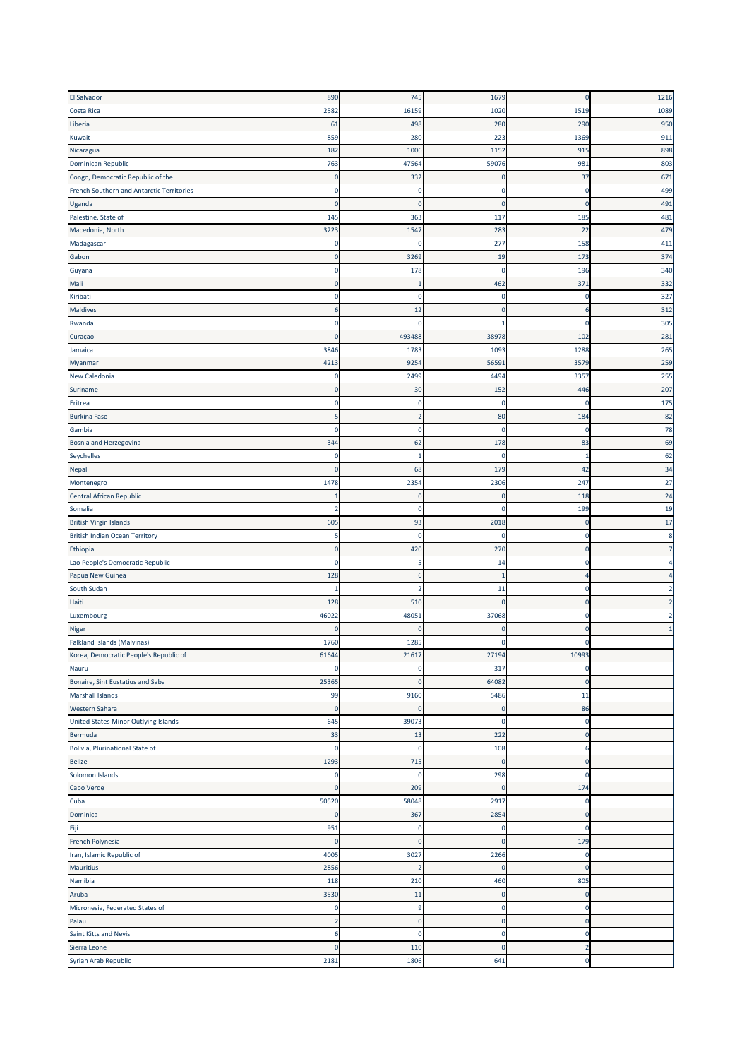| <b>El Salvador</b>                        | 890            | 745            | 1679         | $\mathbf 0$  | 1216 |
|-------------------------------------------|----------------|----------------|--------------|--------------|------|
| Costa Rica                                | 2582           | 16159          | 1020         | 1519         | 1089 |
|                                           |                |                |              |              |      |
| Liberia                                   | 61             | 498            | 280          | 290          | 950  |
| Kuwait                                    | 859            | 280            | 223          | 1369         | 911  |
| Nicaragua                                 | 182            | 1006           | 1152         | 915          | 898  |
| <b>Dominican Republic</b>                 | 763            | 47564          | 59076        | 981          | 803  |
| Congo, Democratic Republic of the         | $\overline{0}$ | 332            | 0            | 37           | 671  |
| French Southern and Antarctic Territories | 0              | 0              | 0            | -0           | 499  |
|                                           |                |                |              |              |      |
| Uganda                                    | $\mathbf{0}$   | $\mathbf{0}$   | $\mathbf{0}$ | $\Omega$     | 491  |
| Palestine, State of                       | 145            | 363            | 117          | 185          | 481  |
| Macedonia, North                          | 3223           | 1547           | 283          | 22           | 479  |
| Madagascar                                | 0              | $\Omega$       | 277          | 158          | 411  |
| Gabon                                     | $\mathbf{0}$   | 3269           | 19           | 173          | 374  |
| Guyana                                    | 0              | 178            | $\mathbf 0$  | 196          | 340  |
| Mali                                      | $\Omega$       | r.             | 462          | 371          | 332  |
|                                           |                |                |              |              |      |
| Kiribati                                  | 0              | 0              | 0            | -0           | 327  |
| <b>Maldives</b>                           | 6              | 12             | $\mathbf 0$  |              | 312  |
| Rwanda                                    | 0              | 0              | -1           | n            | 305  |
| Curaçao                                   | $\Omega$       | 493488         | 38978        | 102          | 281  |
| Jamaica                                   | 3846           | 1783           | 1093         | 1288         | 265  |
| Myanmar                                   | 4213           | 9254           | 56591        | 357          | 259  |
| <b>New Caledonia</b>                      | 0              | 2499           | 4494         | 3357         | 255  |
|                                           |                |                |              |              |      |
| Suriname                                  | 0              | 30             | 152          | 446          | 207  |
| Eritrea                                   | 0              | 0              | 0            |              | 175  |
| <b>Burkina Faso</b>                       |                |                | 80           | 184          | 82   |
| Gambia                                    | $\Omega$       | 0              | 0            | c            | 78   |
| Bosnia and Herzegovina                    | 344            | 62             | 178          | 83           | 69   |
| Seychelles                                | $\mathbf 0$    | 1              | 0            |              | 62   |
|                                           |                |                |              |              |      |
| Nepal                                     | 0              | 68             | 179          | 42           | 34   |
| Montenegro                                | 1478           | 2354           | 2306         | 247          | 27   |
| Central African Republic                  |                | $\mathbf 0$    | $\mathbf 0$  | 118          | 24   |
| Somalia                                   | 2              | $\mathbf 0$    | 0            | 199          | 19   |
| <b>British Virgin Islands</b>             | 605            | 93             | 2018         | -C           | 17   |
| <b>British Indian Ocean Territory</b>     | 5              | 0              | $\mathbf{0}$ | 0            | 8    |
| Ethiopia                                  | 0              | 420            | 270          | $\Omega$     |      |
|                                           |                |                |              |              |      |
| Lao People's Democratic Republic          | $\Omega$       | 5              | 14           | 0            |      |
| Papua New Guinea                          | 128            | 6              | $\mathbf{1}$ |              |      |
| South Sudan                               |                | 2              | 11           | $\Omega$     |      |
| Haiti                                     | 128            | 510            | $\pmb{0}$    | $\mathbf{0}$ |      |
| Luxembourg                                | 46022          | 48051          | 37068        | 0            | 2    |
| Niger                                     | $\Omega$       | $\Omega$       | $\mathbf 0$  | $\Omega$     |      |
| <b>Falkland Islands (Malvinas)</b>        | 1760           | 1285           | c            |              |      |
|                                           |                |                |              |              |      |
| Korea, Democratic People's Republic of    | 61644          | 21617          | 27194        | 1099         |      |
| Nauru                                     | $\Omega$       | 0              | 317          | $\Omega$     |      |
| Bonaire, Sint Eustatius and Saba          | 25365          | 0              | 64082        | $\mathbf 0$  |      |
| Marshall Islands                          | 99             | 9160           | 5486         | 11           |      |
| Western Sahara                            | 0              | 0              | $\pmb{0}$    | 86           |      |
| United States Minor Outlying Islands      | 645            | 39073          | 0            | $\Omega$     |      |
| Bermuda                                   | 33             | 13             | 222          | $\Omega$     |      |
|                                           |                |                |              |              |      |
| Bolivia, Plurinational State of           | 0              | 0              | 108          |              |      |
| <b>Belize</b>                             | 1293           | 715            | $\mathbf 0$  | $\mathbf 0$  |      |
| Solomon Islands                           | $\mathbf 0$    | 0              | 298          | C            |      |
| Cabo Verde                                | 0              | 209            | $\mathbf 0$  | 174          |      |
| Cuba                                      | 50520          | 58048          | 2917         | 0            |      |
| Dominica                                  | 0              | 367            | 2854         | $\mathbf 0$  |      |
|                                           | 951            | 0              | 0            | $\Omega$     |      |
| Fiji                                      |                |                |              |              |      |
| French Polynesia                          | $\mathbf 0$    | $\mathbf 0$    | $\mathbf 0$  | 179          |      |
| Iran, Islamic Republic of                 | 4005           | 3027           | 2266         | $\mathbf 0$  |      |
| <b>Mauritius</b>                          | 2856           | $\overline{2}$ | $\mathbf 0$  | $\mathbf 0$  |      |
| Namibia                                   | 118            | 210            | 460          | 805          |      |
| Aruba                                     | 3530           | 11             | $\mathbf 0$  | $\Omega$     |      |
| Micronesia, Federated States of           | $\mathbf 0$    | 9              | $\pmb{0}$    | $\Omega$     |      |
|                                           |                |                |              |              |      |
| Palau                                     | $\overline{2}$ | $\pmb{0}$      | $\pmb{0}$    | $\mathbf{0}$ |      |
| Saint Kitts and Nevis                     | 6              | $\mathbf 0$    | 0            | $\Omega$     |      |
| Sierra Leone                              | 0              | 110            | $\mathbf 0$  | -2           |      |
| Syrian Arab Republic                      | 2181           | 1806           | 641          | $\mathbf 0$  |      |